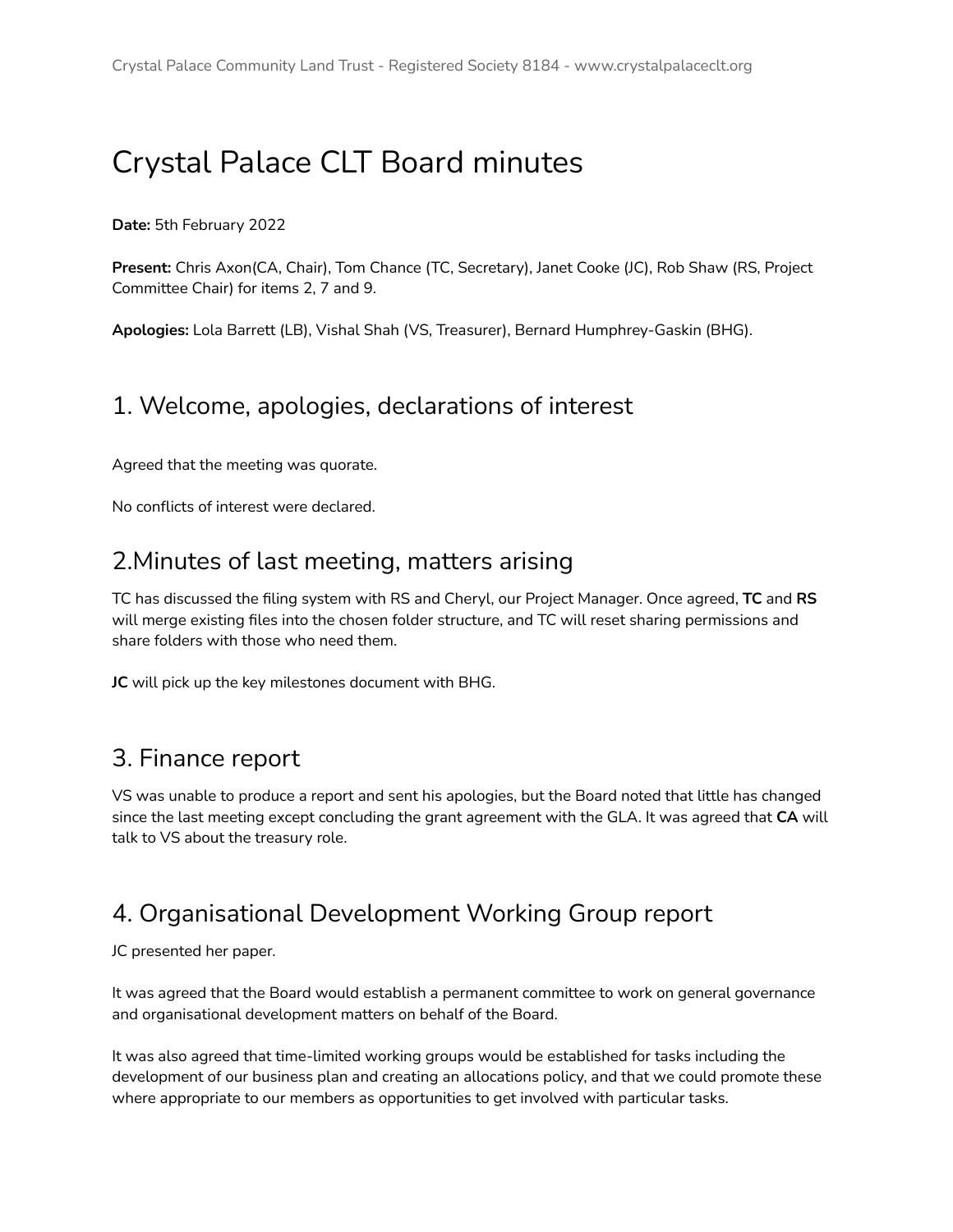# Crystal Palace CLT Board minutes

**Date:** 5th February 2022

**Present:** Chris Axon(CA, Chair), Tom Chance (TC, Secretary), Janet Cooke (JC), Rob Shaw (RS, Project Committee Chair) for items 2, 7 and 9.

**Apologies:** Lola Barrett (LB), Vishal Shah (VS, Treasurer), Bernard Humphrey-Gaskin (BHG).

### 1. Welcome, apologies, declarations of interest

Agreed that the meeting was quorate.

No conflicts of interest were declared.

### 2.Minutes of last meeting, matters arising

TC has discussed the filing system with RS and Cheryl, our Project Manager. Once agreed, **TC** and **RS** will merge existing files into the chosen folder structure, and TC will reset sharing permissions and share folders with those who need them.

**JC** will pick up the key milestones document with BHG.

#### 3. Finance report

VS was unable to produce a report and sent his apologies, but the Board noted that little has changed since the last meeting except concluding the grant agreement with the GLA. It was agreed that **CA** will talk to VS about the treasury role.

# 4. Organisational Development Working Group report

JC presented her paper.

It was agreed that the Board would establish a permanent committee to work on general governance and organisational development matters on behalf of the Board.

It was also agreed that time-limited working groups would be established for tasks including the development of our business plan and creating an allocations policy, and that we could promote these where appropriate to our members as opportunities to get involved with particular tasks.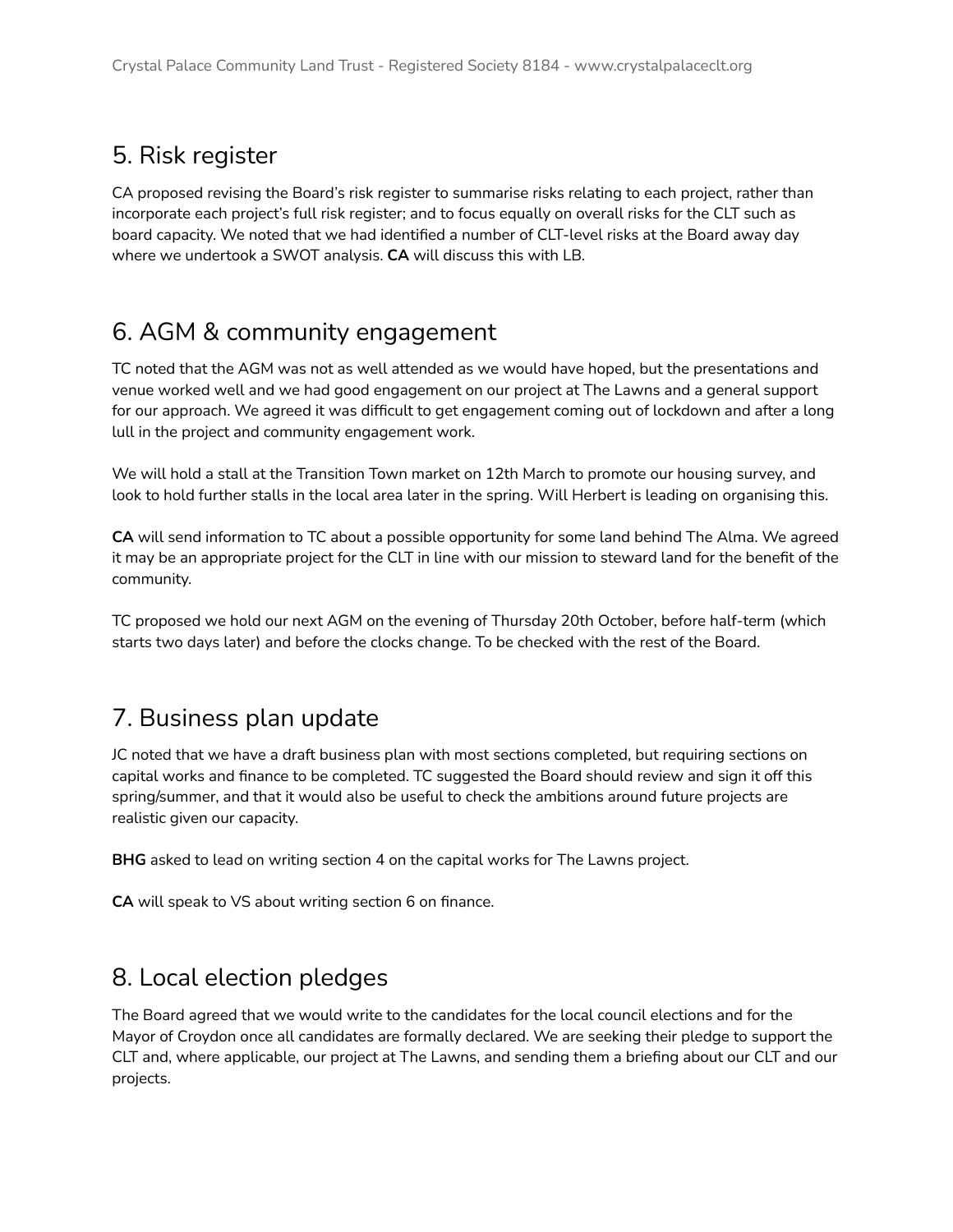# 5. Risk register

CA proposed revising the Board's risk register to summarise risks relating to each project, rather than incorporate each project's full risk register; and to focus equally on overall risks for the CLT such as board capacity. We noted that we had identified a number of CLT-level risks at the Board away day where we undertook a SWOT analysis. **CA** will discuss this with LB.

# 6. AGM & community engagement

TC noted that the AGM was not as well attended as we would have hoped, but the presentations and venue worked well and we had good engagement on our project at The Lawns and a general support for our approach. We agreed it was difficult to get engagement coming out of lockdown and after a long lull in the project and community engagement work.

We will hold a stall at the Transition Town market on 12th March to promote our housing survey, and look to hold further stalls in the local area later in the spring. Will Herbert is leading on organising this.

**CA** will send information to TC about a possible opportunity for some land behind The Alma. We agreed it may be an appropriate project for the CLT in line with our mission to steward land for the benefit of the community.

TC proposed we hold our next AGM on the evening of Thursday 20th October, before half-term (which starts two days later) and before the clocks change. To be checked with the rest of the Board.

# 7. Business plan update

JC noted that we have a draft business plan with most sections completed, but requiring sections on capital works and finance to be completed. TC suggested the Board should review and sign it off this spring/summer, and that it would also be useful to check the ambitions around future projects are realistic given our capacity.

**BHG** asked to lead on writing section 4 on the capital works for The Lawns project.

**CA** will speak to VS about writing section 6 on finance.

### 8. Local election pledges

The Board agreed that we would write to the candidates for the local council elections and for the Mayor of Croydon once all candidates are formally declared. We are seeking their pledge to support the CLT and, where applicable, our project at The Lawns, and sending them a briefing about our CLT and our projects.